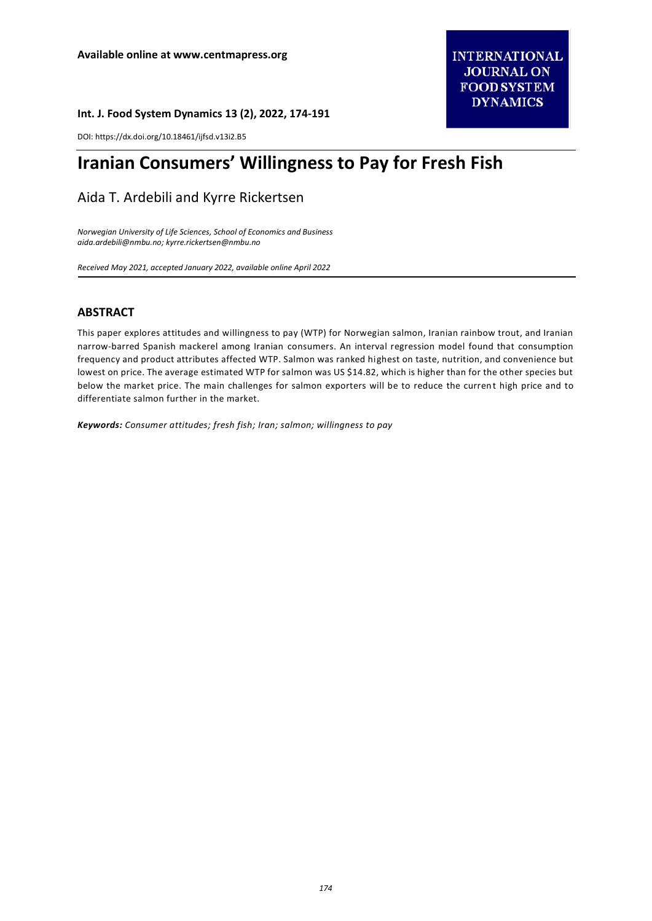#### **Int. J. Food System Dynamics 13 (2), 2022, 174-191**

DOI: https://dx.doi.org/10.18461/ijfsd.v13i2.B5

# **Iranian Consumers' Willingness to Pay for Fresh Fish**

# Aida T. Ardebili and Kyrre Rickertsen

*Norwegian University of Life Sciences, School of Economics and Business [aida.ardebili@nmbu.no;](mailto:aida.ardebili@nmbu.no) [kyrre.rickertsen@nmbu.no](mailto:kyrre.rickertsen@nmbu.no)*

*Received May 2021, accepted January 2022, available online April 2022* 

# **ABSTRACT**

This paper explores attitudes and willingness to pay (WTP) for Norwegian salmon, Iranian rainbow trout, and Iranian narrow-barred Spanish mackerel among Iranian consumers. An interval regression model found that consumption frequency and product attributes affected WTP. Salmon was ranked highest on taste, nutrition, and convenience but lowest on price. The average estimated WTP for salmon was US \$14.82, which is higher than for the other species but below the market price. The main challenges for salmon exporters will be to reduce the current high price and to differentiate salmon further in the market.

*Keywords: Consumer attitudes; fresh fish; Iran; salmon; willingness to pay*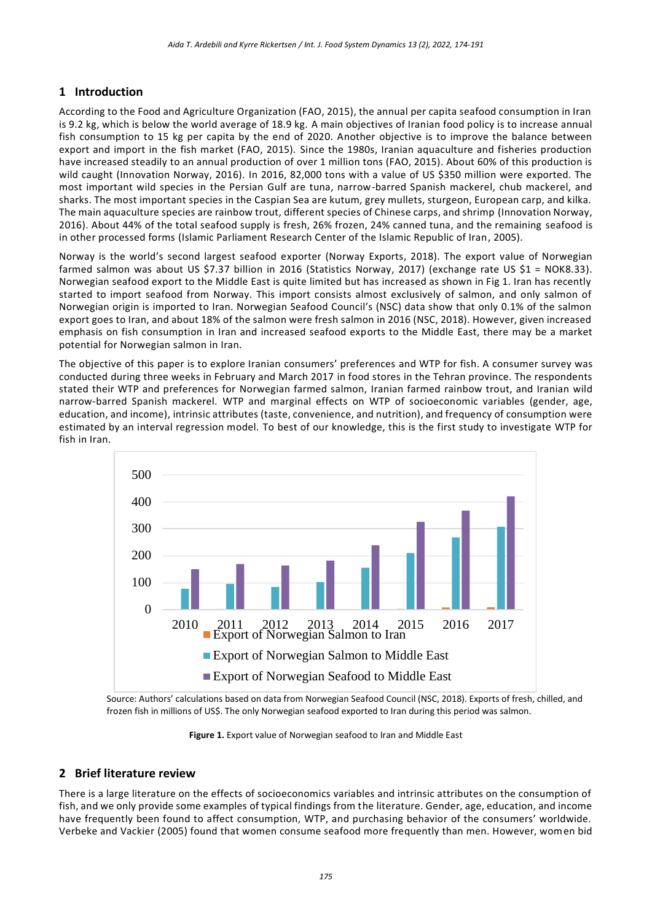# **1 Introduction**

According to the Food and Agriculture Organization (FAO, 2015), the annual per capita seafood consumption in Iran is 9.2 kg, which is below the world average of 18.9 kg. A main objectives of Iranian food policy is to increase annual fish consumption to 15 kg per capita by the end of 2020. Another objective is to improve the balance between export and import in the fish market (FAO, 2015). Since the 1980s, Iranian aquaculture and fisheries production have increased steadily to an annual production of over 1 million tons (FAO, 2015). About 60% of this production is wild caught (Innovation Norway, 2016). In 2016, 82,000 tons with a value of US \$350 million were exported. The most important wild species in the Persian Gulf are tuna, narrow-barred Spanish mackerel, chub mackerel, and sharks. The most important species in the Caspian Sea are kutum, grey mullets, sturgeon, European carp, and kilka. The main aquaculture species are rainbow trout, different species of Chinese carps, and shrimp (Innovation Norway, 2016). About 44% of the total seafood supply is fresh, 26% frozen, 24% canned tuna, and the remaining seafood is in other processed forms (Islamic Parliament Research Center of the Islamic Republic of Iran, 2005).

Norway is the world's second largest seafood exporter (Norway Exports, 2018). The export value of Norwegian farmed salmon was about US \$7.37 billion in 2016 (Statistics Norway, 2017) (exchange rate US \$1 = NOK8.33). Norwegian seafood export to the Middle East is quite limited but has increased as shown in Fig 1. Iran has recently started to import seafood from Norway. This import consists almost exclusively of salmon, and only salmon of Norwegian origin is imported to Iran. Norwegian Seafood Council's (NSC) data show that only 0.1% of the salmon export goes to Iran, and about 18% of the salmon were fresh salmon in 2016 (NSC, 2018). However, given increased emphasis on fish consumption in Iran and increased seafood exports to the Middle East, there may be a market potential for Norwegian salmon in Iran.

The objective of this paper is to explore Iranian consumers' preferences and WTP for fish. A consumer survey was conducted during three weeks in February and March 2017 in food stores in the Tehran province. The respondents stated their WTP and preferences for Norwegian farmed salmon, Iranian farmed rainbow trout, and Iranian wild narrow-barred Spanish mackerel. WTP and marginal effects on WTP of socioeconomic variables (gender, age, education, and income), intrinsic attributes (taste, convenience, and nutrition), and frequency of consumption were estimated by an interval regression model. To best of our knowledge, this is the first study to investigate WTP for fish in Iran.



Source: Authors' calculations based on data from Norwegian Seafood Council (NSC, 2018). Exports of fresh, chilled, and frozen fish in millions of US\$. The only Norwegian seafood exported to Iran during this period was salmon.

Figure 1. Export value of Norwegian seafood to Iran and Middle East

# **2 Brief literature review**

There is a large literature on the effects of socioeconomics variables and intrinsic attributes on the consumption of fish, and we only provide some examples of typical findings from the literature. Gender, age, education, and income have frequently been found to affect consumption, WTP, and purchasing behavior of the consumers' worldwide. Verbeke and Vackier (2005) found that women consume seafood more frequently than men. However, women bid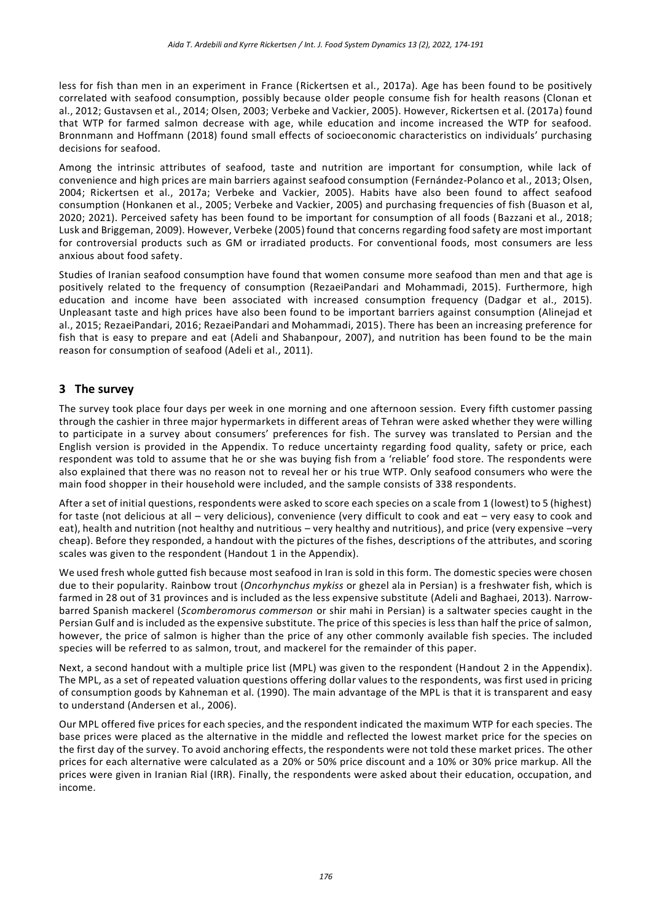less for fish than men in an experiment in France (Rickertsen et al., 2017a). Age has been found to be positively correlated with seafood consumption, possibly because older people consume fish for health reasons (Clonan et al., 2012; Gustavsen et al., 2014; Olsen, 2003; Verbeke and Vackier, 2005). However, Rickertsen et al. (2017a) found that WTP for farmed salmon decrease with age, while education and income increased the WTP for seafood. Bronnmann and Hoffmann (2018) found small effects of socioeconomic characteristics on individuals' purchasing decisions for seafood.

Among the intrinsic attributes of seafood, taste and nutrition are important for consumption, while lack of convenience and high prices are main barriers against seafood consumption (Fernández-Polanco et al., 2013; Olsen, 2004; Rickertsen et al., 2017a; Verbeke and Vackier, 2005). Habits have also been found to affect seafood consumption (Honkanen et al., 2005; Verbeke and Vackier, 2005) and purchasing frequencies of fish (Buason et al, 2020; 2021). Perceived safety has been found to be important for consumption of all foods (Bazzani et al., 2018; Lusk and Briggeman, 2009). However, Verbeke (2005) found that concerns regarding food safety are most important for controversial products such as GM or irradiated products. For conventional foods, most consumers are less anxious about food safety.

Studies of Iranian seafood consumption have found that women consume more seafood than men and that age is positively related to the frequency of consumption (RezaeiPandari and Mohammadi, 2015). Furthermore, high education and income have been associated with increased consumption frequency (Dadgar et al., 2015). Unpleasant taste and high prices have also been found to be important barriers against consumption (Alinejad et al., 2015; RezaeiPandari, 2016; RezaeiPandari and Mohammadi, 2015). There has been an increasing preference for fish that is easy to prepare and eat (Adeli and Shabanpour, 2007), and nutrition has been found to be the main reason for consumption of seafood (Adeli et al., 2011).

# **3 The survey**

The survey took place four days per week in one morning and one afternoon session. Every fifth customer passing through the cashier in three major hypermarkets in different areas of Tehran were asked whether they were willing to participate in a survey about consumers' preferences for fish. The survey was translated to Persian and the English version is provided in the Appendix. To reduce uncertainty regarding food quality, safety or price, each respondent was told to assume that he or she was buying fish from a 'reliable' food store. The respondents were also explained that there was no reason not to reveal her or his true WTP. Only seafood consumers who were the main food shopper in their household were included, and the sample consists of 338 respondents.

After a set of initial questions, respondents were asked to score each species on a scale from 1 (lowest) to 5 (highest) for taste (not delicious at all – very delicious), convenience (very difficult to cook and eat – very easy to cook and eat), health and nutrition (not healthy and nutritious – very healthy and nutritious), and price (very expensive –very cheap). Before they responded, a handout with the pictures of the fishes, descriptions of the attributes, and scoring scales was given to the respondent (Handout 1 in the Appendix).

We used fresh whole gutted fish because most seafood in Iran is sold in this form. The domestic species were chosen due to their popularity. Rainbow trout (*Oncorhynchus mykiss* or ghezel ala in Persian) is a freshwater fish, which is farmed in 28 out of 31 provinces and is included as the less expensive substitute (Adeli and Baghaei, 2013). Narrowbarred Spanish mackerel (*Scomberomorus commerson* or shir mahi in Persian) is a saltwater species caught in the Persian Gulf and is included as the expensive substitute. The price of this species is less than half the price of salmon, however, the price of salmon is higher than the price of any other commonly available fish species. The included species will be referred to as salmon, trout, and mackerel for the remainder of this paper.

Next, a second handout with a multiple price list (MPL) was given to the respondent (Handout 2 in the Appendix). The MPL, as a set of repeated valuation questions offering dollar values to the respondents, was first used in pricing of consumption goods by Kahneman et al. (1990). The main advantage of the MPL is that it is transparent and easy to understand (Andersen et al., 2006).

Our MPL offered five prices for each species, and the respondent indicated the maximum WTP for each species. The base prices were placed as the alternative in the middle and reflected the lowest market price for the species on the first day of the survey. To avoid anchoring effects, the respondents were not told these market prices. The other prices for each alternative were calculated as a 20% or 50% price discount and a 10% or 30% price markup. All the prices were given in Iranian Rial (IRR). Finally, the respondents were asked about their education, occupation, and income.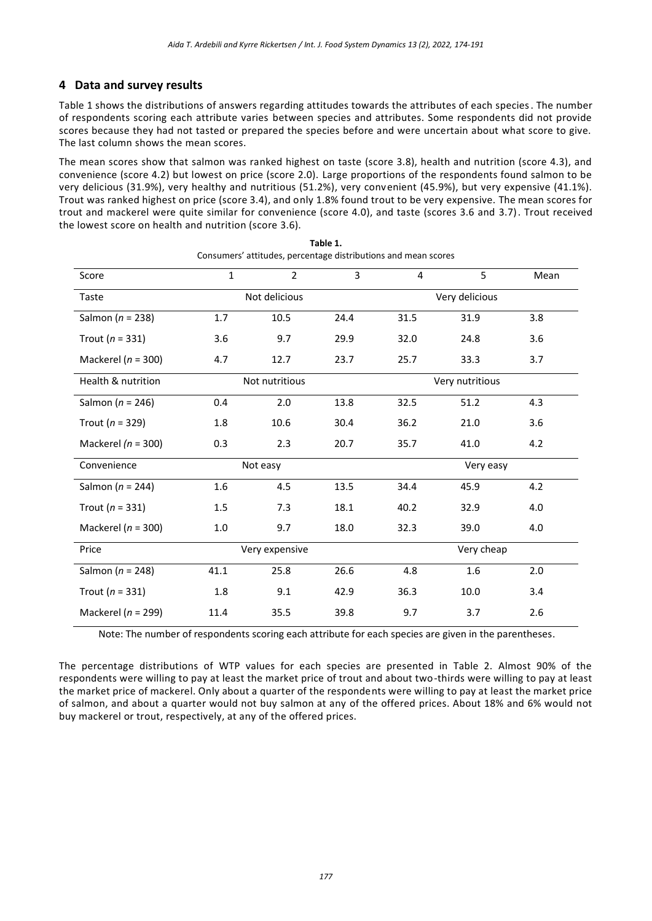# **4 Data and survey results**

Table 1 shows the distributions of answers regarding attitudes towards the attributes of each species. The number of respondents scoring each attribute varies between species and attributes. Some respondents did not provide scores because they had not tasted or prepared the species before and were uncertain about what score to give. The last column shows the mean scores.

The mean scores show that salmon was ranked highest on taste (score 3.8), health and nutrition (score 4.3), and convenience (score 4.2) but lowest on price (score 2.0). Large proportions of the respondents found salmon to be very delicious (31.9%), very healthy and nutritious (51.2%), very convenient (45.9%), but very expensive (41.1%). Trout was ranked highest on price (score 3.4), and only 1.8% found trout to be very expensive. The mean scores for trout and mackerel were quite similar for convenience (score 4.0), and taste (scores 3.6 and 3.7). Trout received the lowest score on health and nutrition (score 3.6).

| Score                  | $\mathbf{1}$ | $\overline{2}$ | 3    | $\overline{4}$ | 5               | Mean |
|------------------------|--------------|----------------|------|----------------|-----------------|------|
| Taste                  |              | Not delicious  |      |                | Very delicious  |      |
| Salmon ( $n = 238$ )   | 1.7          | 10.5           | 24.4 | 31.5           | 31.9            | 3.8  |
| Trout ( $n = 331$ )    | 3.6          | 9.7            | 29.9 | 32.0           | 24.8            | 3.6  |
| Mackerel ( $n = 300$ ) | 4.7          | 12.7           | 23.7 | 25.7           | 33.3            | 3.7  |
| Health & nutrition     |              | Not nutritious |      |                | Very nutritious |      |
| Salmon ( $n = 246$ )   | 0.4          | 2.0            | 13.8 | 32.5           | 51.2            | 4.3  |
| Trout ( $n = 329$ )    | 1.8          | 10.6           | 30.4 | 36.2           | 21.0            | 3.6  |
| Mackerel ( $n = 300$ ) | 0.3          | 2.3            | 20.7 | 35.7           | 41.0            | 4.2  |
| Convenience            |              | Not easy       |      |                | Very easy       |      |
| Salmon ( $n = 244$ )   | 1.6          | 4.5            | 13.5 | 34.4           | 45.9            | 4.2  |
| Trout ( $n = 331$ )    | 1.5          | 7.3            | 18.1 | 40.2           | 32.9            | 4.0  |
| Mackerel ( $n = 300$ ) | 1.0          | 9.7            | 18.0 | 32.3           | 39.0            | 4.0  |
| Price                  |              | Very expensive |      |                | Very cheap      |      |
| Salmon ( $n = 248$ )   | 41.1         | 25.8           | 26.6 | 4.8            | 1.6             | 2.0  |
| Trout ( $n = 331$ )    | 1.8          | 9.1            | 42.9 | 36.3           | 10.0            | 3.4  |
| Mackerel ( $n = 299$ ) | 11.4         | 35.5           | 39.8 | 9.7            | 3.7             | 2.6  |

**Table 1.** Consumers' attitudes, percentage distributions and mean scores

Note: The number of respondents scoring each attribute for each species are given in the parentheses.

The percentage distributions of WTP values for each species are presented in Table 2. Almost 90% of the respondents were willing to pay at least the market price of trout and about two-thirds were willing to pay at least the market price of mackerel. Only about a quarter of the respondents were willing to pay at least the market price of salmon, and about a quarter would not buy salmon at any of the offered prices. About 18% and 6% would not buy mackerel or trout, respectively, at any of the offered prices.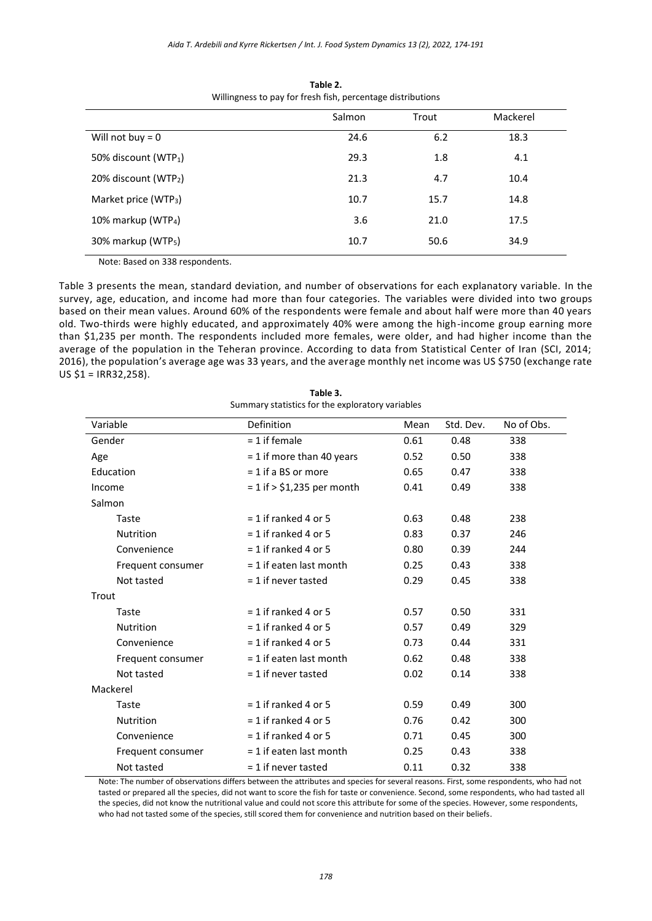|                                                                                                                    | Salmon | Trout | Mackerel |  |
|--------------------------------------------------------------------------------------------------------------------|--------|-------|----------|--|
| Will not buy = $0$                                                                                                 | 24.6   | 6.2   | 18.3     |  |
| 50% discount (WTP <sub>1</sub> )                                                                                   | 29.3   | 1.8   | 4.1      |  |
| 20% discount (WTP2)                                                                                                | 21.3   | 4.7   | 10.4     |  |
| Market price (WTP <sub>3</sub> )                                                                                   | 10.7   | 15.7  | 14.8     |  |
| 10% markup (WTP <sub>4</sub> )                                                                                     | 3.6    | 21.0  | 17.5     |  |
| 30% markup (WTP <sub>5</sub> )                                                                                     | 10.7   | 50.6  | 34.9     |  |
| $\cdots$ . The set of $\cdots$ is a set of $\cdots$ is a set of $\cdots$ is a set of $\cdots$ is a set of $\cdots$ |        |       |          |  |

**Table 2.** Willingness to pay for fresh fish, percentage distributions

Note: Based on 338 respondents.

Table 3 presents the mean, standard deviation, and number of observations for each explanatory variable. In the survey, age, education, and income had more than four categories. The variables were divided into two groups based on their mean values. Around 60% of the respondents were female and about half were more than 40 years old. Two-thirds were highly educated, and approximately 40% were among the high-income group earning more than \$1,235 per month. The respondents included more females, were older, and had higher income than the average of the population in the Teheran province. According to data from Statistical Center of Iran (SCI, 2014; 2016), the population's average age was 33 years, and the average monthly net income was US \$750 (exchange rate US \$1 = IRR32,258).

| Table 3.                                         |
|--------------------------------------------------|
| Summary statistics for the exploratory variables |

| Variable          | Definition                   | Mean | Std. Dev. | No of Obs. |
|-------------------|------------------------------|------|-----------|------------|
| Gender            | $= 1$ if female              | 0.61 | 0.48      | 338        |
| Age               | = 1 if more than 40 years    | 0.52 | 0.50      | 338        |
| Education         | $= 1$ if a BS or more        | 0.65 | 0.47      | 338        |
| Income            | $= 1$ if > \$1,235 per month | 0.41 | 0.49      | 338        |
| Salmon            |                              |      |           |            |
| Taste             | $= 1$ if ranked 4 or 5       | 0.63 | 0.48      | 238        |
| <b>Nutrition</b>  | $= 1$ if ranked 4 or 5       | 0.83 | 0.37      | 246        |
| Convenience       | $= 1$ if ranked 4 or 5       | 0.80 | 0.39      | 244        |
| Frequent consumer | $= 1$ if eaten last month    | 0.25 | 0.43      | 338        |
| Not tasted        | $= 1$ if never tasted        | 0.29 | 0.45      | 338        |
| Trout             |                              |      |           |            |
| Taste             | $= 1$ if ranked 4 or 5       | 0.57 | 0.50      | 331        |
| <b>Nutrition</b>  | $= 1$ if ranked 4 or 5       | 0.57 | 0.49      | 329        |
| Convenience       | $= 1$ if ranked 4 or 5       | 0.73 | 0.44      | 331        |
| Frequent consumer | $= 1$ if eaten last month    | 0.62 | 0.48      | 338        |
| Not tasted        | $= 1$ if never tasted        | 0.02 | 0.14      | 338        |
| Mackerel          |                              |      |           |            |
| Taste             | $= 1$ if ranked 4 or 5       | 0.59 | 0.49      | 300        |
| Nutrition         | $= 1$ if ranked 4 or 5       | 0.76 | 0.42      | 300        |
| Convenience       | $= 1$ if ranked 4 or 5       | 0.71 | 0.45      | 300        |
| Frequent consumer | $= 1$ if eaten last month    | 0.25 | 0.43      | 338        |
| Not tasted        | $= 1$ if never tasted        | 0.11 | 0.32      | 338        |

Note: The number of observations differs between the attributes and species for several reasons. First, some respondents, who had not tasted or prepared all the species, did not want to score the fish for taste or convenience. Second, some respondents, who had tasted all the species, did not know the nutritional value and could not score this attribute for some of the species. However, some respondents, who had not tasted some of the species, still scored them for convenience and nutrition based on their beliefs.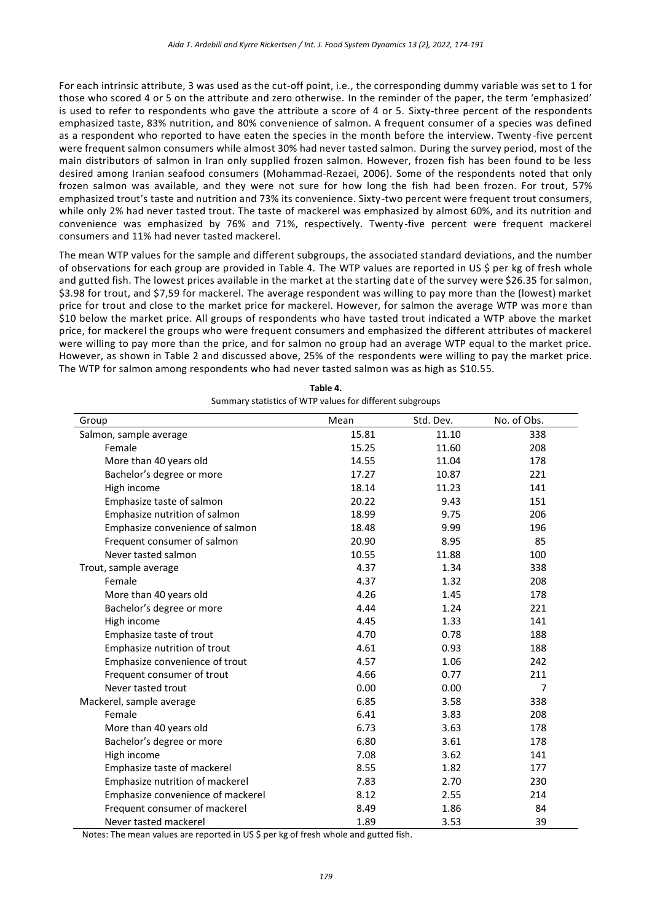For each intrinsic attribute, 3 was used as the cut-off point, i.e., the corresponding dummy variable was set to 1 for those who scored 4 or 5 on the attribute and zero otherwise. In the reminder of the paper, the term 'emphasized' is used to refer to respondents who gave the attribute a score of 4 or 5. Sixty-three percent of the respondents emphasized taste, 83% nutrition, and 80% convenience of salmon. A frequent consumer of a species was defined as a respondent who reported to have eaten the species in the month before the interview. Twenty -five percent were frequent salmon consumers while almost 30% had never tasted salmon. During the survey period, most of the main distributors of salmon in Iran only supplied frozen salmon. However, frozen fish has been found to be less desired among Iranian seafood consumers (Mohammad-Rezaei, 2006). Some of the respondents noted that only frozen salmon was available, and they were not sure for how long the fish had been frozen. For trout, 57% emphasized trout's taste and nutrition and 73% its convenience. Sixty-two percent were frequent trout consumers, while only 2% had never tasted trout. The taste of mackerel was emphasized by almost 60%, and its nutrition and convenience was emphasized by 76% and 71%, respectively. Twenty-five percent were frequent mackerel consumers and 11% had never tasted mackerel.

The mean WTP values for the sample and different subgroups, the associated standard deviations, and the number of observations for each group are provided in Table 4. The WTP values are reported in US \$ per kg of fresh whole and gutted fish. The lowest prices available in the market at the starting date of the survey were \$26.35 for salmon, \$3.98 for trout, and \$7,59 for mackerel. The average respondent was willing to pay more than the (lowest) market price for trout and close to the market price for mackerel. However, for salmon the average WTP was more than \$10 below the market price. All groups of respondents who have tasted trout indicated a WTP above the market price, for mackerel the groups who were frequent consumers and emphasized the different attributes of mackerel were willing to pay more than the price, and for salmon no group had an average WTP equal to the market price. However, as shown in Table 2 and discussed above, 25% of the respondents were willing to pay the market price. The WTP for salmon among respondents who had never tasted salmon was as high as \$10.55.

| Group                             | Mean  | Std. Dev. | No. of Obs.    |
|-----------------------------------|-------|-----------|----------------|
| Salmon, sample average            | 15.81 | 11.10     | 338            |
| Female                            | 15.25 | 11.60     | 208            |
| More than 40 years old            | 14.55 | 11.04     | 178            |
| Bachelor's degree or more         | 17.27 | 10.87     | 221            |
| High income                       | 18.14 | 11.23     | 141            |
| Emphasize taste of salmon         | 20.22 | 9.43      | 151            |
| Emphasize nutrition of salmon     | 18.99 | 9.75      | 206            |
| Emphasize convenience of salmon   | 18.48 | 9.99      | 196            |
| Frequent consumer of salmon       | 20.90 | 8.95      | 85             |
| Never tasted salmon               | 10.55 | 11.88     | 100            |
| Trout, sample average             | 4.37  | 1.34      | 338            |
| Female                            | 4.37  | 1.32      | 208            |
| More than 40 years old            | 4.26  | 1.45      | 178            |
| Bachelor's degree or more         | 4.44  | 1.24      | 221            |
| High income                       | 4.45  | 1.33      | 141            |
| Emphasize taste of trout          | 4.70  | 0.78      | 188            |
| Emphasize nutrition of trout      | 4.61  | 0.93      | 188            |
| Emphasize convenience of trout    | 4.57  | 1.06      | 242            |
| Frequent consumer of trout        | 4.66  | 0.77      | 211            |
| Never tasted trout                | 0.00  | 0.00      | $\overline{7}$ |
| Mackerel, sample average          | 6.85  | 3.58      | 338            |
| Female                            | 6.41  | 3.83      | 208            |
| More than 40 years old            | 6.73  | 3.63      | 178            |
| Bachelor's degree or more         | 6.80  | 3.61      | 178            |
| High income                       | 7.08  | 3.62      | 141            |
| Emphasize taste of mackerel       | 8.55  | 1.82      | 177            |
| Emphasize nutrition of mackerel   | 7.83  | 2.70      | 230            |
| Emphasize convenience of mackerel | 8.12  | 2.55      | 214            |
| Frequent consumer of mackerel     | 8.49  | 1.86      | 84             |
| Never tasted mackerel             | 1.89  | 3.53      | 39             |

| Table 4.                                                 |
|----------------------------------------------------------|
| Summary statistics of WTP values for different subgroups |

Notes: The mean values are reported in US \$ per kg of fresh whole and gutted fish.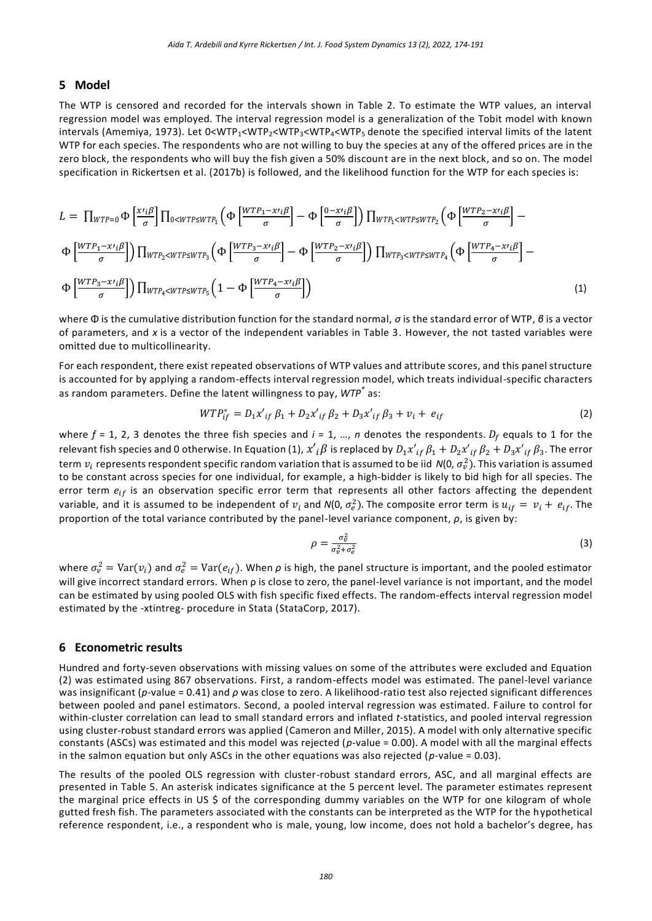#### **5 Model**

The WTP is censored and recorded for the intervals shown in Table 2. To estimate the WTP values, an interval regression model was employed. The interval regression model is a generalization of the Tobit model with known intervals (Amemiya, 1973). Let 0<WTP1<WTP2<WTP3<WTP4<WTP<sup>5</sup> denote the specified interval limits of the latent WTP for each species. The respondents who are not willing to buy the species at any of the offered prices are in the zero block, the respondents who will buy the fish given a 50% discount are in the next block, and so on. The model specification in Rickertsen et al. (2017b) is followed, and the likelihood function for the WTP for each species is:

$$
L = \prod_{WTP=0} \Phi\left[\frac{x_{ij}\beta}{\sigma}\right] \prod_{0 \lt WTP \le WTP_1} \left(\Phi\left[\frac{WTP_1 - x_{ij}\beta}{\sigma}\right] - \Phi\left[\frac{0 - x_{ij}\beta}{\sigma}\right]\right) \prod_{WTP_1 \lt WTP_2 \le WTP_2} \left(\Phi\left[\frac{WTP_2 - x_{ij}\beta}{\sigma}\right] - \Phi\left[\frac{WTP_1 - x_{ij}\beta}{\sigma}\right]\right) \prod_{WTP_2 \lt WTP_2 \le WTP_1} \left(\Phi\left[\frac{WTP_2 - x_{ij}\beta}{\sigma}\right] - \Phi\left[\frac{WTP_2 - x_{ij}\beta}{\sigma}\right]\right) \prod_{WTP_3 \lt WTP_4} \left(\Phi\left[\frac{WTP_3 - x_{ij}\beta}{\sigma}\right] - \Phi\left[\frac{WTP_3 - x_{ij}\beta}{\sigma}\right]\right) \prod_{WTP_4 \lt WTP_5 \le WTP_5} \left(1 - \Phi\left[\frac{WTP_4 - x_{ij}\beta}{\sigma}\right]\right)
$$
\n(1)

where Φ is the cumulative distribution function for the standard normal, *σ* is the standard error of WTP, *β* is a vector of parameters, and *x* is a vector of the independent variables in Table 3. However, the not tasted variables were omitted due to multicollinearity.

For each respondent, there exist repeated observations of WTP values and attribute scores, and this panel structure is accounted for by applying a random-effects interval regression model, which treats individual-specific characters as random parameters. Define the latent willingness to pay, *WTP\** as:

$$
WTP_{if}^* = D_1 x'_{if} \beta_1 + D_2 x'_{if} \beta_2 + D_3 x'_{if} \beta_3 + v_i + e_{if}
$$
\n(2)

where  $f = 1$ , 2, 3 denotes the three fish species and  $i = 1, ..., n$  denotes the respondents.  $D_f$  equals to 1 for the relevant fish species and 0 otherwise. In Equation (1),  $x'_{\ i}\beta$  is replaced by  $D_1{x'}_{if}$   $\beta_1+D_2{x'}_{if}$   $\beta_2+D_3{x'}_{if}$   $\beta_3.$  The error term  $v_i$  represents respondent specific random variation that is assumed to be iid N(0,  $\sigma_v^2$ ). This variation is assumed to be constant across species for one individual, for example, a high-bidder is likely to bid high for all species. The error term  $e_{if}$  is an observation specific error term that represents all other factors affecting the dependent variable, and it is assumed to be independent of  $v_i$  and  $N(0, \sigma_e^2)$ . The composite error term is  $u_{if} = v_i + e_{if}$ . The proportion of the total variance contributed by the panel-level variance component, *ρ*, is given by:

$$
\rho = \frac{\sigma_v^2}{\sigma_v^2 + \sigma_e^2} \tag{3}
$$

where  $\sigma_v^2$  = Var $(v_i)$  and  $\sigma_e^2$  = Var $(e_{if})$ . When  $\rho$  is high, the panel structure is important, and the pooled estimator will give incorrect standard errors. When ρ is close to zero, the panel-level variance is not important, and the model can be estimated by using pooled OLS with fish specific fixed effects. The random-effects interval regression model estimated by the -xtintreg- procedure in Stata (StataCorp, 2017).

#### **6 Econometric results**

Hundred and forty-seven observations with missing values on some of the attributes were excluded and Equation (2) was estimated using 867 observations. First, a random-effects model was estimated. The panel-level variance was insignificant (*p*-value = 0.41) and *ρ* was close to zero. A likelihood-ratio test also rejected significant differences between pooled and panel estimators. Second, a pooled interval regression was estimated. F ailure to control for within-cluster correlation can lead to small standard errors and inflated *t*-statistics, and pooled interval regression using cluster-robust standard errors was applied (Cameron and Miller, 2015). A model with only alternative specific constants (ASCs) was estimated and this model was rejected (*p*-value = 0.00). A model with all the marginal effects in the salmon equation but only ASCs in the other equations was also rejected (*p*-value = 0.03).

The results of the pooled OLS regression with cluster-robust standard errors, ASC, and all marginal effects are presented in Table 5. An asterisk indicates significance at the 5 percent level. The parameter estimates represent the marginal price effects in US \$ of the corresponding dummy variables on the WTP for one kilogram of whole gutted fresh fish. The parameters associated with the constants can be interpreted as the WTP for the hypothetical reference respondent, i.e., a respondent who is male, young, low income, does not hold a bachelor's degree, has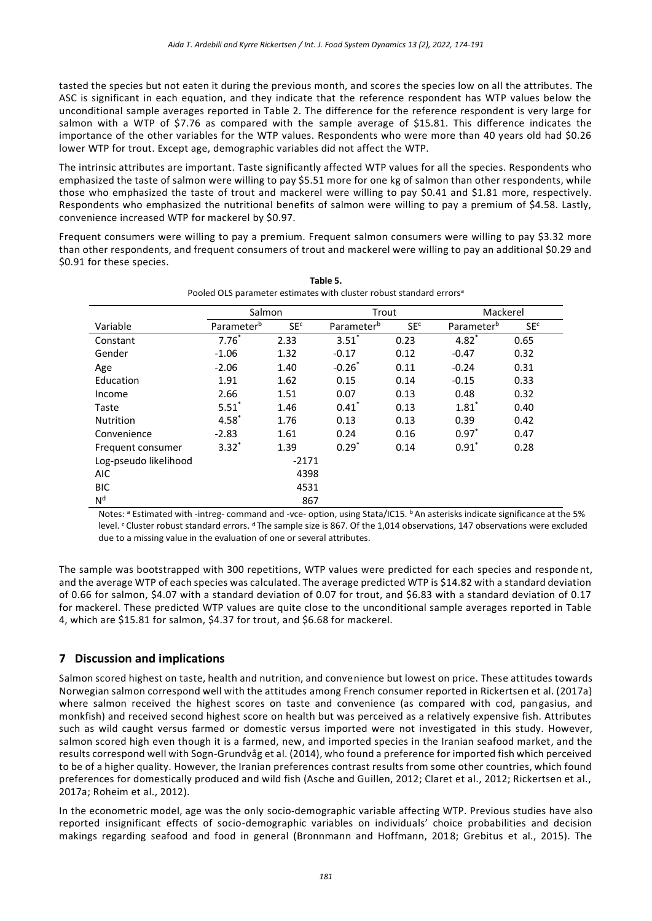tasted the species but not eaten it during the previous month, and scores the species low on all the attributes. The ASC is significant in each equation, and they indicate that the reference respondent has WTP values below the unconditional sample averages reported in Table 2. The difference for the reference respondent is very large for salmon with a WTP of \$7.76 as compared with the sample average of \$15.81. This difference indicates the importance of the other variables for the WTP values. Respondents who were more than 40 years old had \$0.26 lower WTP for trout. Except age, demographic variables did not affect the WTP.

The intrinsic attributes are important. Taste significantly affected WTP values for all the species. Respondents who emphasized the taste of salmon were willing to pay \$5.51 more for one kg of salmon than other respondents, while those who emphasized the taste of trout and mackerel were willing to pay \$0.41 and \$1.81 more, respectively. Respondents who emphasized the nutritional benefits of salmon were willing to pay a premium of \$4.58. Lastly, convenience increased WTP for mackerel by \$0.97.

Frequent consumers were willing to pay a premium. Frequent salmon consumers were willing to pay \$3.32 more than other respondents, and frequent consumers of trout and mackerel were willing to pay an additional \$0.29 and \$0.91 for these species.

|                       | r obied OLS parameter estimates with cluster robust standard errors |                 |                        |                 |                        |                 |
|-----------------------|---------------------------------------------------------------------|-----------------|------------------------|-----------------|------------------------|-----------------|
|                       | Salmon                                                              |                 | Trout                  |                 | Mackerel               |                 |
| Variable              | Parameter <sup>b</sup>                                              | SE <sup>c</sup> | Parameter <sup>b</sup> | SE <sup>c</sup> | Parameter <sup>b</sup> | SE <sup>c</sup> |
| Constant              | $7.76*$                                                             | 2.33            | $3.51$ <sup>*</sup>    | 0.23            | $4.82^{*}$             | 0.65            |
| Gender                | $-1.06$                                                             | 1.32            | $-0.17$                | 0.12            | $-0.47$                | 0.32            |
| Age                   | $-2.06$                                                             | 1.40            | $-0.26*$               | 0.11            | $-0.24$                | 0.31            |
| Education             | 1.91                                                                | 1.62            | 0.15                   | 0.14            | $-0.15$                | 0.33            |
| Income                | 2.66                                                                | 1.51            | 0.07                   | 0.13            | 0.48                   | 0.32            |
| Taste                 | $5.51*$                                                             | 1.46            | $0.41^*$               | 0.13            | $1.81*$                | 0.40            |
| <b>Nutrition</b>      | $4.58*$                                                             | 1.76            | 0.13                   | 0.13            | 0.39                   | 0.42            |
| Convenience           | $-2.83$                                                             | 1.61            | 0.24                   | 0.16            | $0.97^*$               | 0.47            |
| Frequent consumer     | $3.32*$                                                             | 1.39            | $0.29*$                | 0.14            | $0.91^*$               | 0.28            |
| Log-pseudo likelihood |                                                                     | $-2171$         |                        |                 |                        |                 |
| <b>AIC</b>            |                                                                     | 4398            |                        |                 |                        |                 |
| <b>BIC</b>            |                                                                     | 4531            |                        |                 |                        |                 |
| N <sup>d</sup>        |                                                                     | 867             |                        |                 |                        |                 |

| Table 5.                                                                        |
|---------------------------------------------------------------------------------|
| Pooled OLS parameter estimates with cluster robust standard errors <sup>a</sup> |

Notes: a Estimated with -intreg- command and -vce- option, using Stata/IC15, **b**An asterisks indicate significance at the 5% level. Cluster robust standard errors. d The sample size is 867. Of the 1,014 observations, 147 observations were excluded due to a missing value in the evaluation of one or several attributes.

The sample was bootstrapped with 300 repetitions, WTP values were predicted for each species and responde nt, and the average WTP of each species was calculated. The average predicted WTP is \$14.82 with a standard deviation of 0.66 for salmon, \$4.07 with a standard deviation of 0.07 for trout, and \$6.83 with a standard deviation of 0.17 for mackerel. These predicted WTP values are quite close to the unconditional sample averages reported in Table 4, which are \$15.81 for salmon, \$4.37 for trout, and \$6.68 for mackerel.

# **7 Discussion and implications**

Salmon scored highest on taste, health and nutrition, and convenience but lowest on price. These attitudes towards Norwegian salmon correspond well with the attitudes among French consumer reported in Rickertsen et al. (2017a) where salmon received the highest scores on taste and convenience (as compared with cod, pangasius, and monkfish) and received second highest score on health but was perceived as a relatively expensive fish. Attributes such as wild caught versus farmed or domestic versus imported were not investigated in this study. However, salmon scored high even though it is a farmed, new, and imported species in the Iranian seafood market, and the results correspond well with Sogn-Grundvåg et al. (2014), who found a preference for imported fish which perceived to be of a higher quality. However, the Iranian preferences contrast results from some other countries, which found preferences for domestically produced and wild fish (Asche and Guillen, 2012; Claret et al., 2012; Rickertsen et al., 2017a; Roheim et al., 2012).

In the econometric model, age was the only socio-demographic variable affecting WTP. Previous studies have also reported insignificant effects of socio-demographic variables on individuals' choice probabilities and decision makings regarding seafood and food in general (Bronnmann and Hoffmann, 2018; Grebitus et al., 2015). The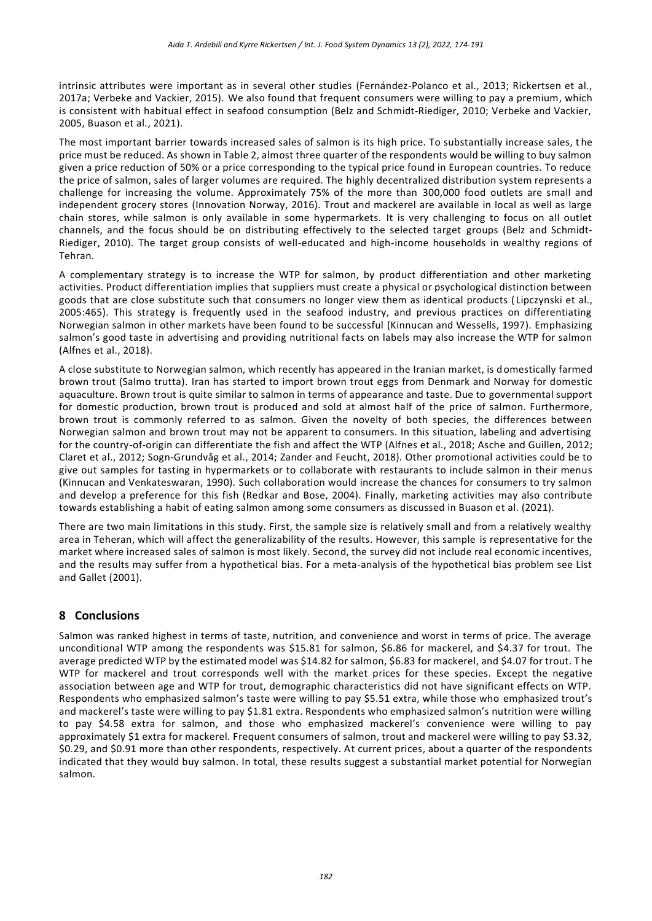intrinsic attributes were important as in several other studies (Fernández-Polanco et al., 2013; Rickertsen et al., 2017a; Verbeke and Vackier, 2015). We also found that frequent consumers were willing to pay a premium, which is consistent with habitual effect in seafood consumption (Belz and Schmidt‐Riediger, 2010; Verbeke and Vackier, 2005, Buason et al., 2021).

The most important barrier towards increased sales of salmon is its high price. To substantially increase sales, t he price must be reduced. As shown in Table 2, almost three quarter of the respondents would be willing to buy salmon given a price reduction of 50% or a price corresponding to the typical price found in European countries. To reduce the price of salmon, sales of larger volumes are required. The highly decentralized distribution system represents a challenge for increasing the volume. Approximately 75% of the more than 300,000 food outlets are small and independent grocery stores (Innovation Norway, 2016). Trout and mackerel are available in local as well as large chain stores, while salmon is only available in some hypermarkets. It is very challenging to focus on all outlet channels, and the focus should be on distributing effectively to the selected target groups (Belz and Schmidt‐ Riediger, 2010). The target group consists of well-educated and high-income households in wealthy regions of Tehran.

A complementary strategy is to increase the WTP for salmon, by product differentiation and other marketing activities. Product differentiation implies that suppliers must create a physical or psychological distinction between goods that are close substitute such that consumers no longer view them as identical products ( Lipczynski et al., 2005:465). This strategy is frequently used in the seafood industry, and previous practices on differentiating Norwegian salmon in other markets have been found to be successful (Kinnucan and Wessells, 1997). Emphasizing salmon's good taste in advertising and providing nutritional facts on labels may also increase the WTP for salmon (Alfnes et al., 2018).

A close substitute to Norwegian salmon, which recently has appeared in the Iranian market, is domestically farmed brown trout (Salmo trutta). Iran has started to import brown trout eggs from Denmark and Norway for domestic aquaculture. Brown trout is quite similar to salmon in terms of appearance and taste. Due to governmental support for domestic production, brown trout is produced and sold at almost half of the price of salmon. Furthermore, brown trout is commonly referred to as salmon. Given the novelty of both species, the differences between Norwegian salmon and brown trout may not be apparent to consumers. In this situation, labeling and advertising for the country-of-origin can differentiate the fish and affect the WTP (Alfnes et al., 2018; Asche and Guillen, 2012; Claret et al., 2012; Sogn-Grundvåg et al., 2014; Zander and Feucht, 2018). Other promotional activities could be to give out samples for tasting in hypermarkets or to collaborate with restaurants to include salmon in their menus (Kinnucan and Venkateswaran, 1990). Such collaboration would increase the chances for consumers to try salmon and develop a preference for this fish (Redkar and Bose, 2004). Finally, marketing activities may also contribute towards establishing a habit of eating salmon among some consumers as discussed in Buason et al. (2021).

There are two main limitations in this study. First, the sample size is relatively small and from a relatively wealthy area in Teheran, which will affect the generalizability of the results. However, this sample is representative for the market where increased sales of salmon is most likely. Second, the survey did not include real economic incentives, and the results may suffer from a hypothetical bias. For a meta-analysis of the hypothetical bias problem see List and Gallet (2001).

# **8 Conclusions**

Salmon was ranked highest in terms of taste, nutrition, and convenience and worst in terms of price. The average unconditional WTP among the respondents was \$15.81 for salmon, \$6.86 for mackerel, and \$4.37 for trout. The average predicted WTP by the estimated model was \$14.82 for salmon, \$6.83 for mackerel, and \$4.07 for trout. T he WTP for mackerel and trout corresponds well with the market prices for these species. Except the negative association between age and WTP for trout, demographic characteristics did not have significant effects on WTP. Respondents who emphasized salmon's taste were willing to pay \$5.51 extra, while those who emphasized trout's and mackerel's taste were willing to pay \$1.81 extra. Respondents who emphasized salmon's nutrition were willing to pay \$4.58 extra for salmon, and those who emphasized mackerel's convenience were willing to pay approximately \$1 extra for mackerel. Frequent consumers of salmon, trout and mackerel were willing to pay \$3.32, \$0.29, and \$0.91 more than other respondents, respectively. At current prices, about a quarter of the respondents indicated that they would buy salmon. In total, these results suggest a substantial market potential for Norwegian salmon.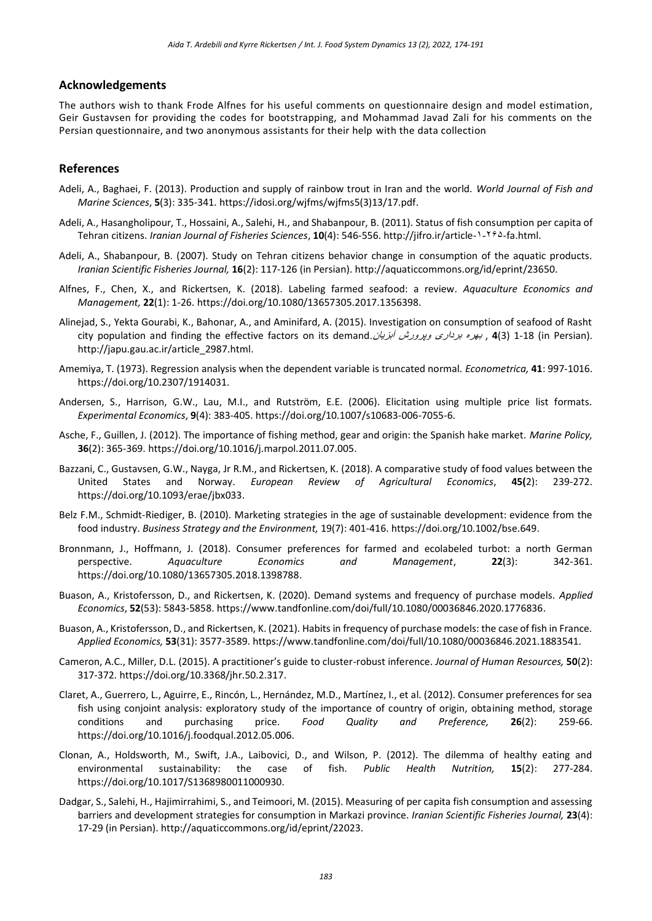#### **Acknowledgements**

The authors wish to thank Frode Alfnes for his useful comments on questionnaire design and model estimation, Geir Gustavsen for providing the codes for bootstrapping, and Mohammad Javad Zali for his comments on the Persian questionnaire, and two anonymous assistants for their help with the data collection

#### **References**

- Adeli, A., Baghaei, F. (2013). Production and supply of rainbow trout in Iran and the world. *World Journal of Fish and Marine Sciences*, **5**(3): 335-341. [https://idosi.org/wjfms/wjfms5\(3\)13/17.pdf.](https://idosi.org/wjfms/wjfms5(3)13/17.pdf)
- Adeli, A., Hasangholipour, T., Hossaini, A., Salehi, H., and Shabanpour, B. (2011). Status of fish consumption per capita of Tehran citizens. *Iranian Journal of Fisheries Sciences*, **10**(4): 546-556[. http://jifro.ir/article-](http://jifro.ir/article-1-265-fa.html)۱-۲۶۵-fa.html.
- Adeli, A., Shabanpour, B. (2007). Study on Tehran citizens behavior change in consumption of the aquatic products. *Iranian Scientific Fisheries Journal,* **16**(2): 117-126 (in Persian). [http://aquaticcommons.org/id/eprint/23650.](http://aquaticcommons.org/id/eprint/23650)
- Alfnes, F., Chen, X., and Rickertsen, K. (2018). Labeling farmed seafood: a review. *Aquaculture Economics and Management,* **22**(1): 1-26. [https://doi.org/10.1080/13657305.2017.1356398.](https://doi.org/10.1080/13657305.2017.1356398)
- Alinejad, S., Yekta Gourabi, K., Bahonar, A., and Aminifard, A. (2015). Investigation on consumption of seafood of Rasht city population and finding the effective factors on its demand. ابن بود بردا*ری وپرورش آبزیان (1-18)* city population and finding the effective factors on its demand. [http://japu.gau.ac.ir/article\\_2987.html.](http://japu.gau.ac.ir/article_2987.html)
- Amemiya, T. (1973). Regression analysis when the dependent variable is truncated normal. *Econometrica,* **41**: 997-1016. [https://doi.org/10.2307/1914031.](https://doi.org/10.2307/1914031)
- Andersen, S., Harrison, G.W., Lau, M.I., and Rutström, E.E. (2006). Elicitation using multiple price list formats. *Experimental Economics*, **9**(4): 383-405[. https://doi.org/10.1007/s10683-006-7055-6.](https://doi.org/10.1007/s10683-006-7055-6)
- Asche, F., Guillen, J. (2012). The importance of fishing method, gear and origin: the Spanish hake market. *Marine Policy,* **36**(2): 365-369. [https://doi.org/10.1016/j.marpol.2011.07.005.](https://doi.org/10.1016/j.marpol.2011.07.005)
- Bazzani, C., Gustavsen, G.W., Nayga, Jr R.M., and Rickertsen, K. (2018). A comparative study of food values between the United States and Norway. *European Review of Agricultural Economics*, **45(**2): 239-272. [https://doi.org/10.1093/erae/jbx033.](https://doi.org/10.1093/erae/jbx033)
- Belz F.M., Schmidt‐Riediger, B. (2010). Marketing strategies in the age of sustainable development: evidence from the food industry. *Business Strategy and the Environment,* 19(7): 401-416[. https://doi.org/10.1002/bse.649.](https://doi.org/10.1002/bse.649)
- Bronnmann, J., Hoffmann, J. (2018). Consumer preferences for farmed and ecolabeled turbot: a north German perspective. *Aquaculture Economics and Management*, **22**(3): 342-361. [https://doi.org/10.1080/13657305.2018.1398788.](https://doi.org/10.1080/13657305.2018.1398788)
- Buason, A., Kristofersson, D., and Rickertsen, K. (2020). Demand systems and frequency of purchase models. *Applied Economics*, **52**(53): 5843-5858. [https://www.tandfonline.com/doi/full/10.1080/00036846.2020.1776836.](https://www.tandfonline.com/doi/full/10.1080/00036846.2020.1776836)
- Buason, A., Kristofersson, D., and Rickertsen, K. (2021). Habits in frequency of purchase models: the case of fish in France. *Applied Economics,* **53**(31): 3577-3589. https://www.tandfonline.com/doi/full/10.1080/00036846.2021.1883541.
- Cameron, A.C., Miller, D.L. (2015). A practitioner's guide to cluster-robust inference. *Journal of Human Resources,* **50**(2): 317-372. [https://doi.org/10.3368/jhr.50.2.317.](https://doi.org/10.3368/jhr.50.2.317)
- Claret, A., Guerrero, L., Aguirre, E., Rincón, L., Hernández, M.D., Martínez, I., et al. (2012). Consumer preferences for sea fish using conjoint analysis: exploratory study of the importance of country of origin, obtaining method, storage conditions and purchasing price. *Food Quality and Preference,* **26**(2): 259-66. [https://doi.org/10.1016/j.foodqual.2012.05.006.](https://doi.org/10.1016/j.foodqual.2012.05.006)
- Clonan, A., Holdsworth, M., Swift, J.A., Laibovici, D., and Wilson, P. (2012). The dilemma of healthy eating and environmental sustainability: the case of fish. *Public Health Nutrition,* **15**(2): 277-284. [https://doi.org/10.1017/S1368980011000930.](https://doi.org/10.1017/S1368980011000930)
- Dadgar, S., Salehi, H., Hajimirrahimi, S., and Teimoori, M. (2015). Measuring of per capita fish consumption and assessing barriers and development strategies for consumption in Markazi province. *Iranian Scientific Fisheries Journal,* **23**(4): 17-29 (in Persian). [http://aquaticcommons.org/id/eprint/22023.](http://aquaticcommons.org/id/eprint/22023)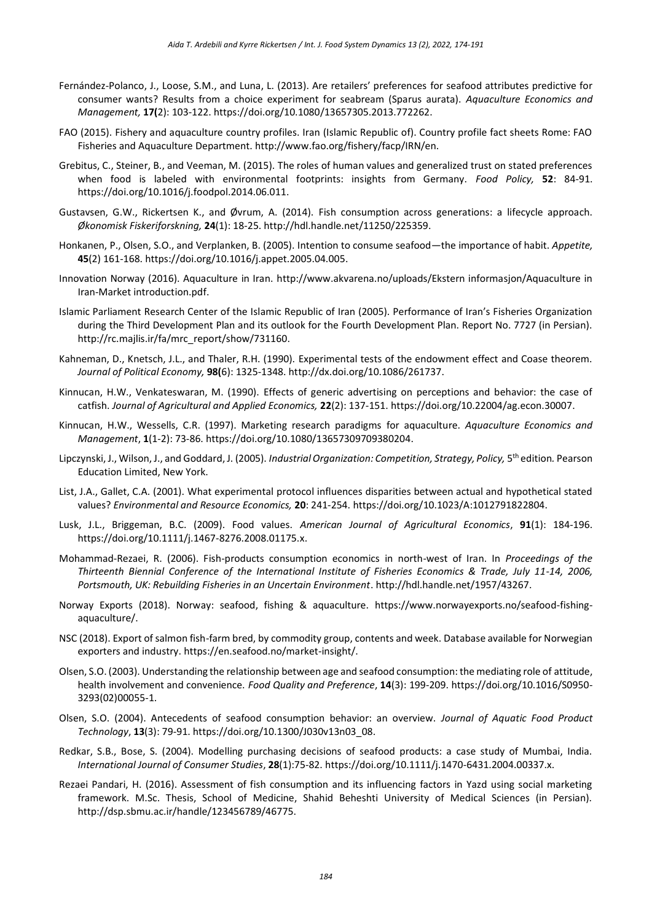- Fernández-Polanco, J., Loose, S.M., and Luna, L. (2013). Are retailers' preferences for seafood attributes predictive for consumer wants? Results from a choice experiment for seabream (Sparus aurata). *Aquaculture Economics and Management,* **17(**2): 103-122. [https://doi.org/10.1080/13657305.2013.772262.](https://doi.org/10.1080/13657305.2013.772262)
- FAO (2015). Fishery and aquaculture country profiles. Iran (Islamic Republic of). Country profile fact sheets Rome: FAO Fisheries and Aquaculture Department. [http://www.fao.org/fishery/facp/IRN/en.](http://www.fao.org/fishery/facp/IRN/en)
- Grebitus, C., Steiner, B., and Veeman, M. (2015). The roles of human values and generalized trust on stated preferences when food is labeled with environmental footprints: insights from Germany. *Food Policy,* **52**: 84-91. [https://doi.org/10.1016/j.foodpol.2014.06.011.](https://doi.org/10.1016/j.foodpol.2014.06.011)
- Gustavsen, G.W., Rickertsen K., and Øvrum, A. (2014). Fish consumption across generations: a lifecycle approach. *Økonomisk Fiskeriforskning,* **24**(1): 18-25. [http://hdl.handle.net/11250/225359.](http://hdl.handle.net/11250/225359)
- Honkanen, P., Olsen, S.O., and Verplanken, B. (2005). Intention to consume seafood—the importance of habit. *Appetite,* **45**(2) 161-168. [https://doi.org/10.1016/j.appet.2005.04.005.](https://doi.org/10.1016/j.appet.2005.04.005)
- Innovation Norway (2016). Aquaculture in Iran. [http://www.akvarena.no/uploads/Ekstern informasjon/Aquaculture in](http://www.akvarena.no/uploads/Ekstern%20informasjon/Aquaculture%20in%20Iran-Market%20introduction.pdf)  [Iran-Market introduction.pdf.](http://www.akvarena.no/uploads/Ekstern%20informasjon/Aquaculture%20in%20Iran-Market%20introduction.pdf)
- Islamic Parliament Research Center of the Islamic Republic of Iran (2005). Performance of Iran's Fisheries Organization during the Third Development Plan and its outlook for the Fourth Development Plan. Report No. 7727 (in Persian). [http://rc.majlis.ir/fa/mrc\\_report/show/731160.](http://rc.majlis.ir/fa/mrc_report/show/731160)
- Kahneman, D., Knetsch, J.L., and Thaler, R.H. (1990). Experimental tests of the endowment effect and Coase theorem. *Journal of Political Economy,* **98(**6): 1325-1348. [http://dx.doi.org/10.1086/261737.](https://econpapers.repec.org/scripts/redir.pf?u=http%3A%2F%2Fdx.doi.org%2F10.1086%2F261737;h=repec:ucp:jpolec:v:98:y:1990:i:6:p:1325-48)
- Kinnucan, H.W., Venkateswaran, M. (1990). Effects of generic advertising on perceptions and behavior: the case of catfish. *Journal of Agricultural and Applied Economics,* **22**(2): 137-151. [https://doi.org/10.22004/ag.econ.30007.](file:///C:/Users/apple/Downloads/10.22004/ag.econ.30007)
- Kinnucan, H.W., Wessells, C.R. (1997). Marketing research paradigms for aquaculture. *Aquaculture Economics and Management*, **1**(1-2): 73-86. [https://doi.org/10.1080/13657309709380204.](https://doi.org/10.1080/13657309709380204)
- Lipczynski, J., Wilson, J., and Goddard, J. (2005). *Industrial Organization: Competition, Strategy, Policy,* 5 th edition*.* Pearson Education Limited, New York.
- List, J.A., Gallet, C.A. (2001). What experimental protocol influences disparities between actual and hypothetical stated values? *Environmental and Resource Economics,* **20**: 241-254[. https://doi.org/10.1023/A:1012791822804.](https://doi.org/10.1023/A:1012791822804)
- Lusk, J.L., Briggeman, B.C. (2009). Food values. *American Journal of Agricultural Economics*, **91**(1): 184-196. [https://doi.org/10.1111/j.1467-8276.2008.01175.x.](https://doi.org/10.1111/j.1467-8276.2008.01175.x)
- Mohammad-Rezaei, R. (2006). Fish-products consumption economics in north-west of Iran. In *Proceedings of the Thirteenth Biennial Conference of the International Institute of Fisheries Economics & Trade, July 11-14, 2006, Portsmouth, UK: Rebuilding Fisheries in an Uncertain Environment*[. http://hdl.handle.net/1957/43267.](http://hdl.handle.net/1957/43267)
- Norway Exports (2018). Norway: seafood, fishing & aquaculture. [https://www.norwayexports.no/seafood-fishing](https://www.norwayexports.no/seafood-fishing-aquaculture/)[aquaculture/.](https://www.norwayexports.no/seafood-fishing-aquaculture/)
- NSC (2018). Export of salmon fish-farm bred, by commodity group, contents and week. Database available for Norwegian exporters and industry. [https://en.seafood.no/market-insight/.](https://en.seafood.no/market-insight/)
- Olsen, S.O. (2003). Understanding the relationship between age and seafood consumption: the mediating role of attitude, health involvement and convenience. *Food Quality and Preference*, **14**(3): 199-209. [https://doi.org/10.1016/S0950-](https://doi.org/10.1016/S0950-3293(02)00055-1) [3293\(02\)00055-1.](https://doi.org/10.1016/S0950-3293(02)00055-1)
- Olsen, S.O. (2004). Antecedents of seafood consumption behavior: an overview. *Journal of Aquatic Food Product Technology*, **13**(3): 79-91. [https://doi.org/10.1300/J030v13n03\\_08.](https://doi.org/10.1300/J030v13n03_08)
- Redkar, S.B., Bose, S. (2004). Modelling purchasing decisions of seafood products: a case study of Mumbai, India. *International Journal of Consumer Studies*, **28**(1):75-82. https://doi.org/10.1111/j.1470-6431.2004.00337.x.
- Rezaei Pandari, H. (2016). Assessment of fish consumption and its influencing factors in Yazd using social marketing framework. M.Sc. Thesis, School of Medicine, Shahid Beheshti University of Medical Sciences (in Persian). [http://dsp.sbmu.ac.ir/handle/123456789/46775.](http://dsp.sbmu.ac.ir/handle/123456789/46775)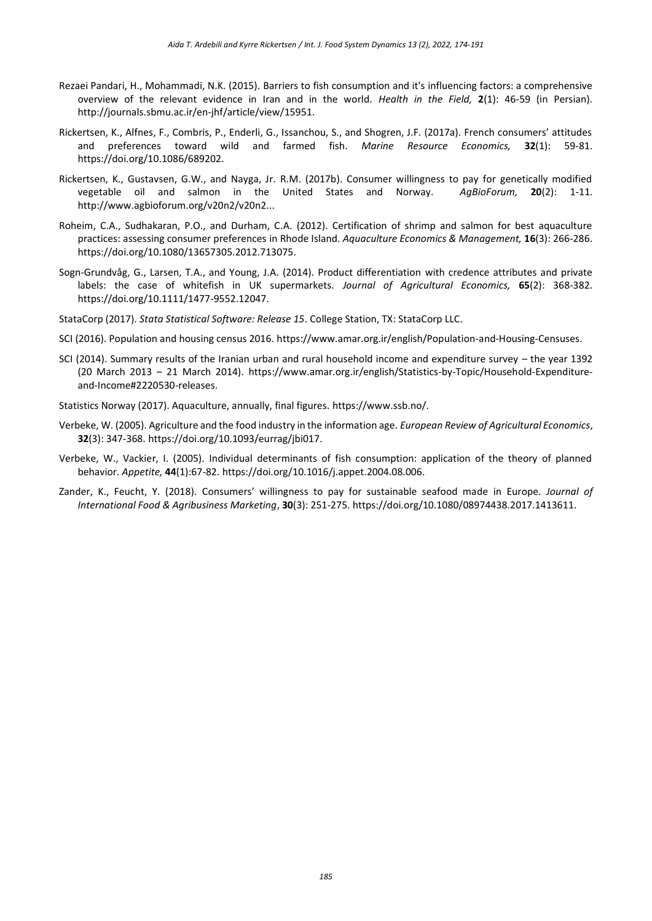- Rezaei Pandari, H., Mohammadi, N.K. (2015). Barriers to fish consumption and it's influencing factors: a comprehensive overview of the relevant evidence in Iran and in the world. *Health in the Field,* **2**(1): 46-59 (in Persian). [http://journals.sbmu.ac.ir/en-jhf/article/view/15951.](http://journals.sbmu.ac.ir/en-jhf/article/view/15951)
- Rickertsen, K., Alfnes, F., Combris, P., Enderli, G., Issanchou, S., and Shogren, J.F. (2017a). French consumers' attitudes and preferences toward wild and farmed fish. *Marine Resource Economics,* **32**(1): 59-81. [https://doi.org/10.1086/689202.](https://doi.org/10.1086/689202)
- Rickertsen, K., Gustavsen, G.W., and Nayga, Jr. R.M. (2017b). Consumer willingness to pay for genetically modified vegetable oil and salmon in the United States and Norway. *AgBioForum,* **20**(2): 1-11. [http://www.agbioforum.org/v20n2/v20n2...](http://www.agbioforum.org/v20n2/v20n2a02-rickertsen.htm)
- Roheim, C.A., Sudhakaran, P.O., and Durham, C.A. (2012). Certification of shrimp and salmon for best aquaculture practices: assessing consumer preferences in Rhode Island. *Aquaculture Economics & Management,* **16**(3): 266-286. [https://doi.org/10.1080/13657305.2012.713075.](https://doi.org/10.1080/13657305.2012.713075)
- Sogn-Grundvåg, G., Larsen, T.A., and Young, J.A. (2014). Product differentiation with credence attributes and private labels: the case of whitefish in UK supermarkets. *Journal of Agricultural Economics,* **65**(2): 368-382. [https://doi.org/10.1111/1477-9552.12047.](https://doi.org/10.1111/1477-9552.12047)
- StataCorp (2017). *Stata Statistical Software: Release 15*. College Station, TX: StataCorp LLC.
- SCI (2016). Population and housing census 2016. [https://www.amar.org.ir/english/Population-and-Housing-Censuses.](https://www.amar.org.ir/english/Population-and-Housing-Censuses)
- SCI (2014). Summary results of the Iranian urban and rural household income and expenditure survey the year 1392 (20 March 2013 – 21 March 2014). [https://www.amar.org.ir/english/Statistics-by-Topic/Household-Expenditure](https://www.amar.org.ir/english/Statistics-by-Topic/Household-Expenditure-and-Income#2220530-releases)[and-Income#2220530-releases.](https://www.amar.org.ir/english/Statistics-by-Topic/Household-Expenditure-and-Income#2220530-releases)
- Statistics Norway (2017). Aquaculture, annually, final figures[. https://www.ssb.no/.](https://www.ssb.no/en/jord-skog-jakt-og-fiskeri/statistikker/fiskeoppdrett/aar)
- Verbeke, W. (2005). Agriculture and the food industry in the information age. *European Review of Agricultural Economics*, **32**(3): 347-368. [https://doi.org/10.1093/eurrag/jbi017.](https://doi.org/10.1093/eurrag/jbi017)
- Verbeke, W., Vackier, I. (2005). Individual determinants of fish consumption: application of the theory of planned behavior. *Appetite,* **44**(1):67-82. [https://doi.org/10.1016/j.appet.2004.08.006.](https://doi.org/10.1016/j.appet.2004.08.006)
- Zander, K., Feucht, Y. (2018). Consumers' willingness to pay for sustainable seafood made in Europe. *Journal of International Food & Agribusiness Marketing*, **30**(3): 251-275. [https://doi.org/10.1080/08974438.2017.1413611.](https://doi.org/10.1080/08974438.2017.1413611)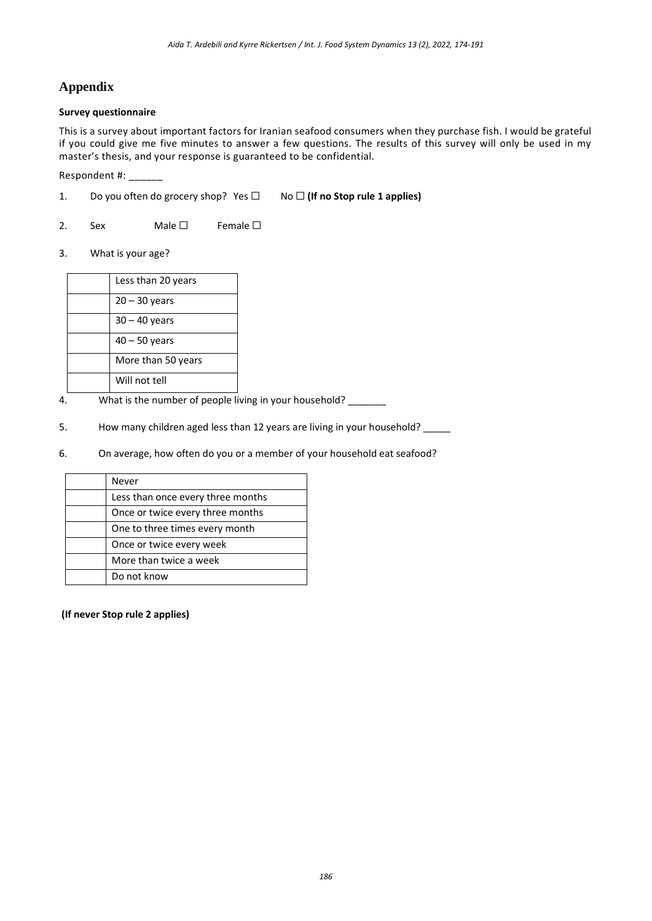# **Appendix**

#### **Survey questionnaire**

This is a survey about important factors for Iranian seafood consumers when they purchase fish. I would be grateful if you could give me five minutes to answer a few questions. The results of this survey will only be used in my master's thesis, and your response is guaranteed to be confidential.

Respondent #: \_\_\_\_\_\_

- 1. Do you often do grocery shop? Yes ☐ No ☐ **(If no Stop rule 1 applies)**
- 2. Sex Male  $\Box$  Female  $\Box$
- 3. What is your age?

| Less than 20 years |
|--------------------|
| $20 - 30$ years    |
| $30 - 40$ years    |
| $40 - 50$ years    |
| More than 50 years |
| Will not tell      |

- 4. What is the number of people living in your household?
- 5. How many children aged less than 12 years are living in your household? \_\_\_\_\_
- 6. On average, how often do you or a member of your household eat seafood?

| Never                             |
|-----------------------------------|
| Less than once every three months |
| Once or twice every three months  |
| One to three times every month    |
| Once or twice every week          |
| More than twice a week            |
| Do not know                       |

**(If never Stop rule 2 applies)**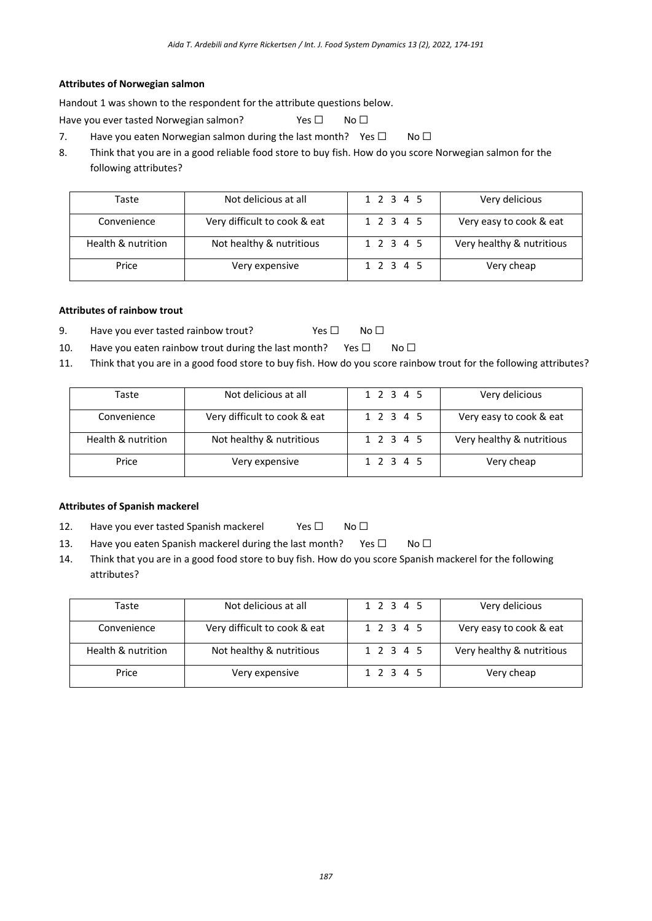#### **Attributes of Norwegian salmon**

Handout 1 was shown to the respondent for the attribute questions below.

Have you ever tasted Norwegian salmon? Yes □ No □

- 7. Have you eaten Norwegian salmon during the last month? Yes  $\Box$  No  $\Box$
- 8. Think that you are in a good reliable food store to buy fish. How do you score Norwegian salmon for the following attributes?

| Taste              | Not delicious at all         | 1 2 3 4 5 | Very delicious            |
|--------------------|------------------------------|-----------|---------------------------|
| Convenience        | Very difficult to cook & eat | 1 2 3 4 5 | Very easy to cook & eat   |
| Health & nutrition | Not healthy & nutritious     | 1 2 3 4 5 | Very healthy & nutritious |
| Price              | Very expensive               | 1 2 3 4 5 | Very cheap                |

### **Attributes of rainbow trout**

- 9. Have you ever tasted rainbow trout? Yes □ No □
- 10. Have you eaten rainbow trout during the last month? Yes  $\square$  No  $\square$
- 11. Think that you are in a good food store to buy fish. How do you score rainbow trout for the following attributes?

| Taste              | Not delicious at all         | 1 2 3 4 5 | Very delicious            |
|--------------------|------------------------------|-----------|---------------------------|
| Convenience        | Very difficult to cook & eat | 1 2 3 4 5 | Very easy to cook & eat   |
| Health & nutrition | Not healthy & nutritious     | 1 2 3 4 5 | Very healthy & nutritious |
| Price              | Very expensive               | 1 2 3 4 5 | Very cheap                |

### **Attributes of Spanish mackerel**

- 12. Have you ever tasted Spanish mackerel Yes □ No □
- 13. Have you eaten Spanish mackerel during the last month? Yes  $\Box$  No  $\Box$
- 14. Think that you are in a good food store to buy fish. How do you score Spanish mackerel for the following attributes?

| Taste              | Not delicious at all         | 1 2 3 4 5 | Very delicious            |
|--------------------|------------------------------|-----------|---------------------------|
| Convenience        | Very difficult to cook & eat | 1 2 3 4 5 | Very easy to cook & eat   |
| Health & nutrition | Not healthy & nutritious     | 1 2 3 4 5 | Very healthy & nutritious |
| Price              | Very expensive               | 1 2 3 4 5 | Very cheap                |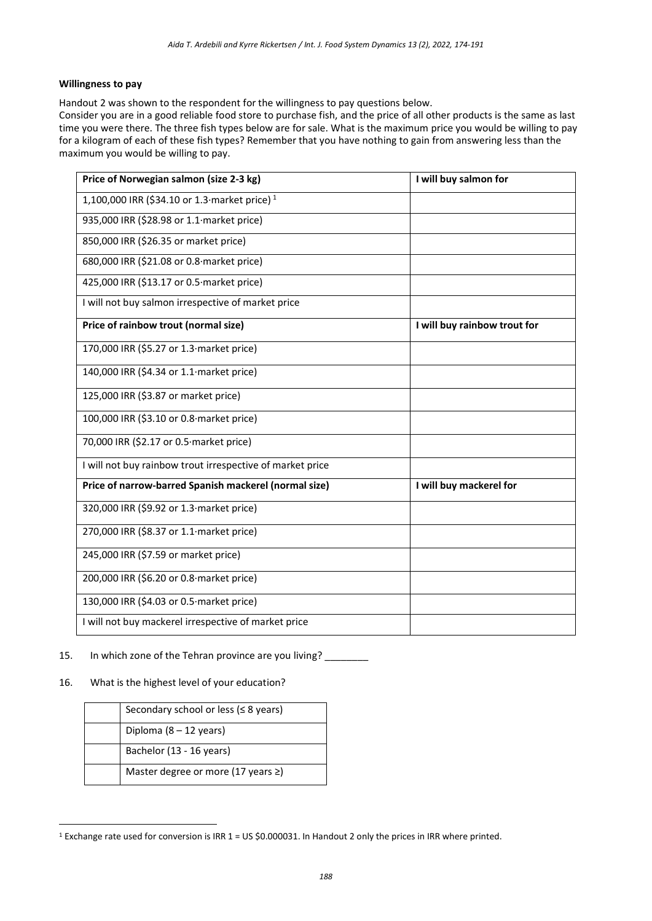#### **Willingness to pay**

Handout 2 was shown to the respondent for the willingness to pay questions below.

Consider you are in a good reliable food store to purchase fish, and the price of all other products is the same as last time you were there. The three fish types below are for sale. What is the maximum price you would be willing to pay for a kilogram of each of these fish types? Remember that you have nothing to gain from answering less than the maximum you would be willing to pay.

| Price of Norwegian salmon (size 2-3 kg)                   | I will buy salmon for        |
|-----------------------------------------------------------|------------------------------|
| 1,100,000 IRR (\$34.10 or 1.3 market price) <sup>1</sup>  |                              |
| 935,000 IRR (\$28.98 or 1.1 market price)                 |                              |
| 850,000 IRR (\$26.35 or market price)                     |                              |
| 680,000 IRR (\$21.08 or 0.8 market price)                 |                              |
| 425,000 IRR (\$13.17 or 0.5 market price)                 |                              |
| I will not buy salmon irrespective of market price        |                              |
| Price of rainbow trout (normal size)                      | I will buy rainbow trout for |
| 170,000 IRR (\$5.27 or 1.3 market price)                  |                              |
| 140,000 IRR (\$4.34 or 1.1 market price)                  |                              |
| 125,000 IRR (\$3.87 or market price)                      |                              |
| 100,000 IRR (\$3.10 or 0.8 market price)                  |                              |
| 70,000 IRR (\$2.17 or 0.5 market price)                   |                              |
| I will not buy rainbow trout irrespective of market price |                              |
| Price of narrow-barred Spanish mackerel (normal size)     | I will buy mackerel for      |
| 320,000 IRR (\$9.92 or 1.3 market price)                  |                              |
| 270,000 IRR (\$8.37 or 1.1 market price)                  |                              |
| 245,000 IRR (\$7.59 or market price)                      |                              |
| 200,000 IRR (\$6.20 or 0.8 market price)                  |                              |
| 130,000 IRR (\$4.03 or 0.5 market price)                  |                              |
| I will not buy mackerel irrespective of market price      |                              |

- 15. In which zone of the Tehran province are you living?
- 16. What is the highest level of your education?

<u>.</u>

| Secondary school or less ( $\leq 8$ years) |
|--------------------------------------------|
| Diploma $(8 - 12$ years)                   |
| Bachelor (13 - 16 years)                   |
| Master degree or more (17 years ≥)         |

<sup>1</sup> Exchange rate used for conversion is IRR 1 = US \$0.000031. In Handout 2 only the prices in IRR where printed.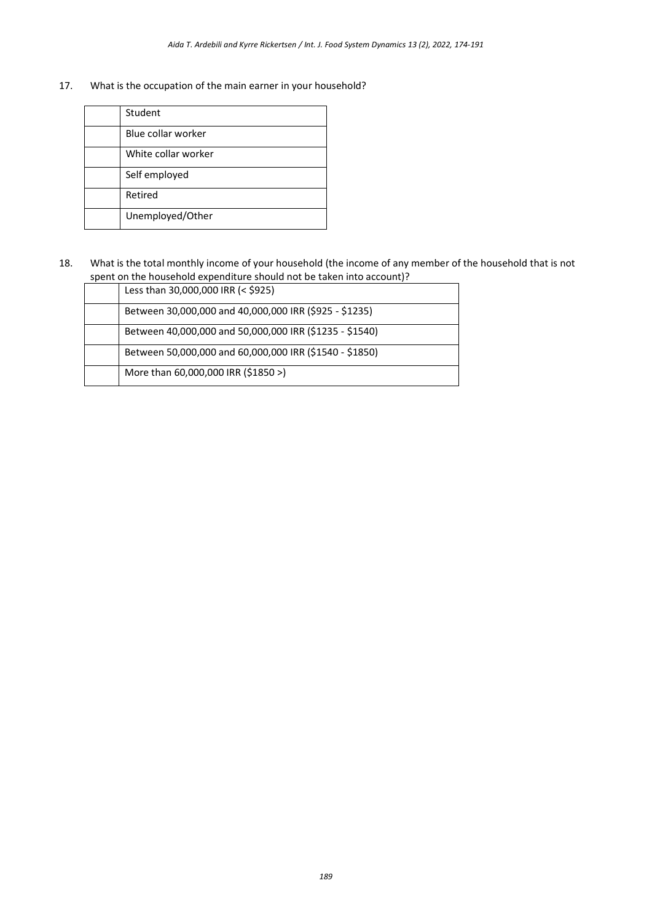17. What is the occupation of the main earner in your household?

| Student             |
|---------------------|
| Blue collar worker  |
| White collar worker |
| Self employed       |
| Retired             |
| Unemployed/Other    |

18. What is the total monthly income of your household (the income of any member of the household that is not spent on the household expenditure should not be taken into account)?

| Less than 30,000,000 IRR (< \$925)                      |
|---------------------------------------------------------|
| Between 30,000,000 and 40,000,000 IRR (\$925 - \$1235)  |
| Between 40,000,000 and 50,000,000 IRR (\$1235 - \$1540) |
| Between 50,000,000 and 60,000,000 IRR (\$1540 - \$1850) |
| More than 60,000,000 IRR (\$1850 >)                     |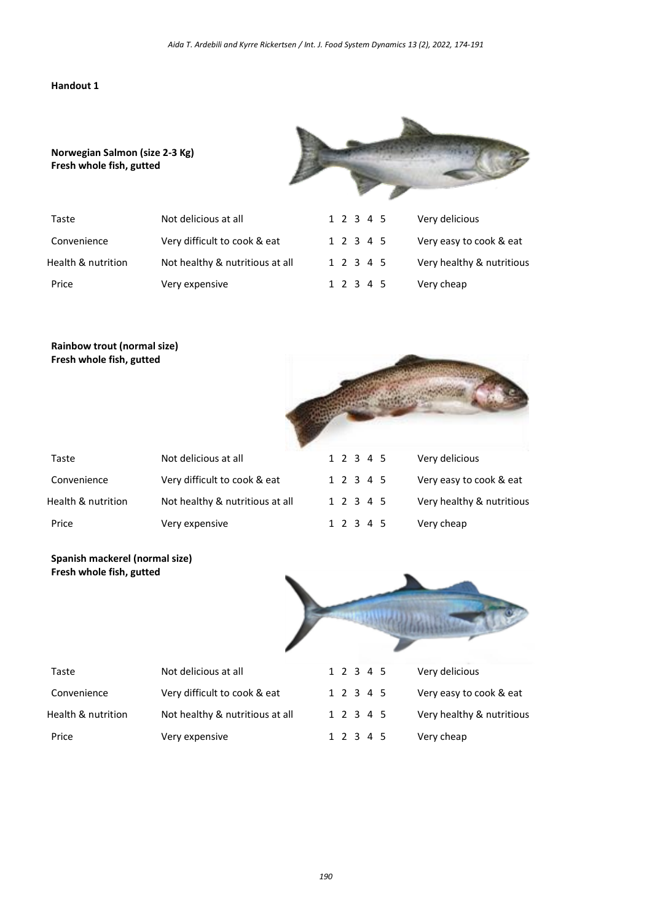#### **Handout 1**



| Taste              | Not delicious at all            |  | 1 2 3 4 5 | Very delicious            |
|--------------------|---------------------------------|--|-----------|---------------------------|
| Convenience        | Very difficult to cook & eat    |  | 1 2 3 4 5 | Very easy to cook & eat   |
| Health & nutrition | Not healthy & nutritious at all |  | 1 2 3 4 5 | Very healthy & nutritious |
| Price              | Very expensive                  |  | 1 2 3 4 5 | Very cheap                |

# **Rainbow trout (normal size) Fresh whole fish, gutted**

**Norwegian Salmon (size 2-3 Kg)**

**Fresh whole fish, gutted**

| Fresh whole fish, gutted |                                 |           |         |                           |
|--------------------------|---------------------------------|-----------|---------|---------------------------|
| Taste                    | Not delicious at all            | 1 2 3 4 5 |         | Very delicious            |
| Convenience              | Very difficult to cook & eat    | 1 2 3 4 5 |         | Very easy to cook & eat   |
| Health & nutrition       | Not healthy & nutritious at all | 1 2 3 4 5 |         | Very healthy & nutritious |
| Price                    | Very expensive                  |           | 2 3 4 5 | Very cheap                |

## **Spanish mackerel (normal size) Fresh whole fish, gutted**



| Taste              | Not delicious at all            | 1 2 3 4 5 | Very delicious            |
|--------------------|---------------------------------|-----------|---------------------------|
| Convenience        | Very difficult to cook & eat    | 1 2 3 4 5 | Very easy to cook & eat   |
| Health & nutrition | Not healthy & nutritious at all | 1 2 3 4 5 | Very healthy & nutritious |
| Price              | Very expensive                  | 1 2 3 4 5 | Very cheap                |